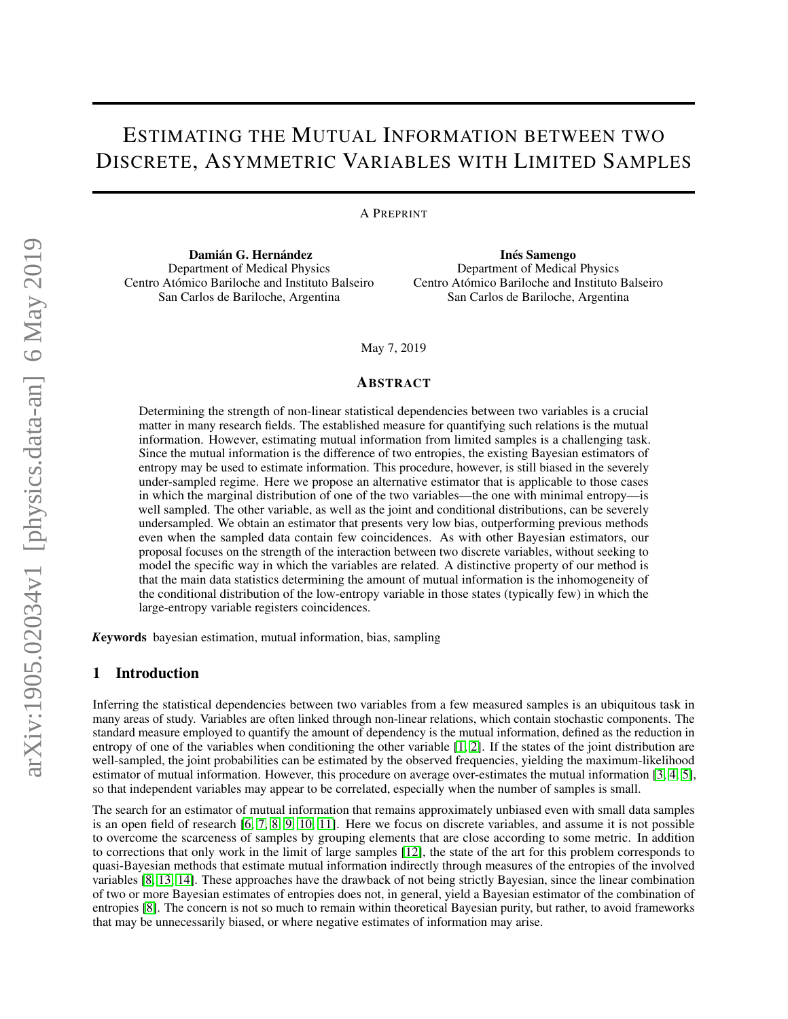# ESTIMATING THE MUTUAL INFORMATION BETWEEN TWO DISCRETE, ASYMMETRIC VARIABLES WITH LIMITED SAMPLES

A PREPRINT

Damián G. Hernández Department of Medical Physics Centro Atómico Bariloche and Instituto Balseiro San Carlos de Bariloche, Argentina

Inés Samengo Department of Medical Physics Centro Atómico Bariloche and Instituto Balseiro San Carlos de Bariloche, Argentina

May 7, 2019

#### ABSTRACT

Determining the strength of non-linear statistical dependencies between two variables is a crucial matter in many research fields. The established measure for quantifying such relations is the mutual information. However, estimating mutual information from limited samples is a challenging task. Since the mutual information is the difference of two entropies, the existing Bayesian estimators of entropy may be used to estimate information. This procedure, however, is still biased in the severely under-sampled regime. Here we propose an alternative estimator that is applicable to those cases in which the marginal distribution of one of the two variables—the one with minimal entropy—is well sampled. The other variable, as well as the joint and conditional distributions, can be severely undersampled. We obtain an estimator that presents very low bias, outperforming previous methods even when the sampled data contain few coincidences. As with other Bayesian estimators, our proposal focuses on the strength of the interaction between two discrete variables, without seeking to model the specific way in which the variables are related. A distinctive property of our method is that the main data statistics determining the amount of mutual information is the inhomogeneity of the conditional distribution of the low-entropy variable in those states (typically few) in which the large-entropy variable registers coincidences.

*K*eywords bayesian estimation, mutual information, bias, sampling

## 1 Introduction

Inferring the statistical dependencies between two variables from a few measured samples is an ubiquitous task in many areas of study. Variables are often linked through non-linear relations, which contain stochastic components. The standard measure employed to quantify the amount of dependency is the mutual information, defined as the reduction in entropy of one of the variables when conditioning the other variable [\[1,](#page-12-0) [2\]](#page-12-1). If the states of the joint distribution are well-sampled, the joint probabilities can be estimated by the observed frequencies, yielding the maximum-likelihood estimator of mutual information. However, this procedure on average over-estimates the mutual information [\[3,](#page-12-2) [4,](#page-12-3) [5\]](#page-12-4), so that independent variables may appear to be correlated, especially when the number of samples is small.

The search for an estimator of mutual information that remains approximately unbiased even with small data samples is an open field of research [\[6,](#page-12-5) [7,](#page-12-6) [8,](#page-12-7) [9,](#page-12-8) [10,](#page-12-9) [11\]](#page-12-10). Here we focus on discrete variables, and assume it is not possible to overcome the scarceness of samples by grouping elements that are close according to some metric. In addition to corrections that only work in the limit of large samples [\[12\]](#page-12-11), the state of the art for this problem corresponds to quasi-Bayesian methods that estimate mutual information indirectly through measures of the entropies of the involved variables [\[8,](#page-12-7) [13,](#page-12-12) [14\]](#page-12-13). These approaches have the drawback of not being strictly Bayesian, since the linear combination of two or more Bayesian estimates of entropies does not, in general, yield a Bayesian estimator of the combination of entropies [\[8\]](#page-12-7). The concern is not so much to remain within theoretical Bayesian purity, but rather, to avoid frameworks that may be unnecessarily biased, or where negative estimates of information may arise.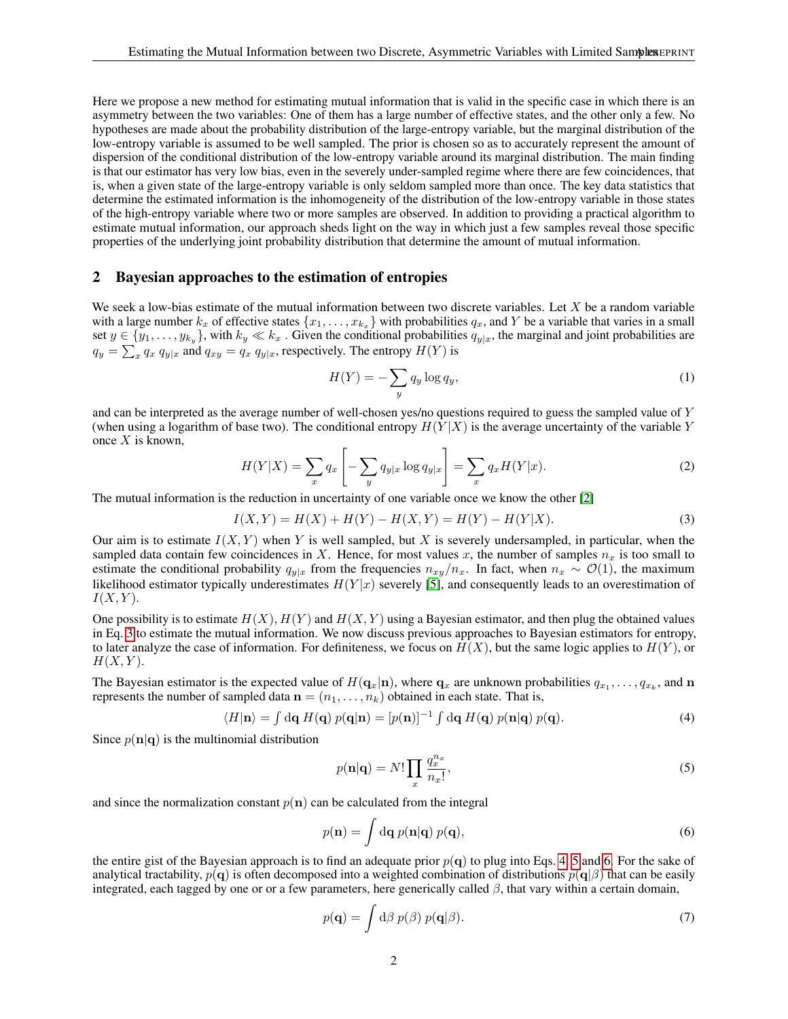Here we propose a new method for estimating mutual information that is valid in the specific case in which there is an asymmetry between the two variables: One of them has a large number of effective states, and the other only a few. No hypotheses are made about the probability distribution of the large-entropy variable, but the marginal distribution of the low-entropy variable is assumed to be well sampled. The prior is chosen so as to accurately represent the amount of dispersion of the conditional distribution of the low-entropy variable around its marginal distribution. The main finding is that our estimator has very low bias, even in the severely under-sampled regime where there are few coincidences, that is, when a given state of the large-entropy variable is only seldom sampled more than once. The key data statistics that determine the estimated information is the inhomogeneity of the distribution of the low-entropy variable in those states of the high-entropy variable where two or more samples are observed. In addition to providing a practical algorithm to estimate mutual information, our approach sheds light on the way in which just a few samples reveal those specific properties of the underlying joint probability distribution that determine the amount of mutual information.

# 2 Bayesian approaches to the estimation of entropies

We seek a low-bias estimate of the mutual information between two discrete variables. Let  $X$  be a random variable with a large number  $k_x$  of effective states  $\{x_1, \ldots, x_{k_x}\}$  with probabilities  $q_x$ , and Y be a variable that varies in a small set  $y \in \{y_1, \ldots, y_{k_y}\}$ , with  $k_y \ll k_x$ . Given the conditional probabilities  $q_{y|x}$ , the marginal and joint probabilities are  $q_y = \sum_x q_x q_{y|x}$  and  $q_{xy} = q_x q_{y|x}$ , respectively. The entropy  $H(Y)$  is

<span id="page-1-0"></span>
$$
H(Y) = -\sum_{y} q_y \log q_y,\tag{1}
$$

and can be interpreted as the average number of well-chosen yes/no questions required to guess the sampled value of Y (when using a logarithm of base two). The conditional entropy  $H(Y|X)$  is the average uncertainty of the variable Y once  $X$  is known.

$$
H(Y|X) = \sum_{x} q_x \left[ -\sum_{y} q_{y|x} \log q_{y|x} \right] = \sum_{x} q_x H(Y|x). \tag{2}
$$

The mutual information is the reduction in uncertainty of one variable once we know the other [\[2\]](#page-12-1)

$$
I(X,Y) = H(X) + H(Y) - H(X,Y) = H(Y) - H(Y|X).
$$
\n(3)

Our aim is to estimate  $I(X, Y)$  when Y is well sampled, but X is severely undersampled, in particular, when the sampled data contain few coincidences in X. Hence, for most values x, the number of samples  $n_x$  is too small to estimate the conditional probability  $q_{y|x}$  from the frequencies  $n_{xy}/n_x$ . In fact, when  $n_x \sim \mathcal{O}(1)$ , the maximum likelihood estimator typically underestimates  $H(Y|x)$  severely [\[5\]](#page-12-4), and consequently leads to an overestimation of  $I(X, Y)$ .

One possibility is to estimate  $H(X)$ ,  $H(Y)$  and  $H(X, Y)$  using a Bayesian estimator, and then plug the obtained values in Eq. [3](#page-1-0) to estimate the mutual information. We now discuss previous approaches to Bayesian estimators for entropy, to later analyze the case of information. For definiteness, we focus on  $H(X)$ , but the same logic applies to  $H(Y)$ , or  $H(X, Y)$ .

The Bayesian estimator is the expected value of  $H(\mathbf{q}_x|\mathbf{n})$ , where  $\mathbf{q}_x$  are unknown probabilities  $q_{x_1},\ldots,q_{x_k}$ , and  $\mathbf{n}$ represents the number of sampled data  $\mathbf{n} = (n_1, \ldots, n_k)$  obtained in each state. That is,

$$
\langle H|\mathbf{n}\rangle = \int d\mathbf{q} H(\mathbf{q}) p(\mathbf{q}|\mathbf{n}) = [p(\mathbf{n})]^{-1} \int d\mathbf{q} H(\mathbf{q}) p(\mathbf{n}|\mathbf{q}) p(\mathbf{q}). \tag{4}
$$

Since  $p(n|\mathbf{q})$  is the multinomial distribution

<span id="page-1-3"></span><span id="page-1-2"></span><span id="page-1-1"></span>
$$
p(\mathbf{n}|\mathbf{q}) = N! \prod_{x} \frac{q_x^{n_x}}{n_x!},
$$
\n(5)

and since the normalization constant  $p(n)$  can be calculated from the integral

$$
p(\mathbf{n}) = \int d\mathbf{q} \, p(\mathbf{n}|\mathbf{q}) \, p(\mathbf{q}),\tag{6}
$$

the entire gist of the Bayesian approach is to find an adequate prior  $p(q)$  to plug into Eqs. [4,](#page-1-1) [5](#page-1-2) and [6.](#page-1-3) For the sake of analytical tractability,  $p(\mathbf{q})$  is often decomposed into a weighted combination of distributions  $p(\mathbf{q}|\beta)$  that can be easily integrated, each tagged by one or or a few parameters, here generically called  $\beta$ , that vary within a certain domain,

<span id="page-1-4"></span>
$$
p(\mathbf{q}) = \int d\beta \ p(\beta) \ p(\mathbf{q}|\beta). \tag{7}
$$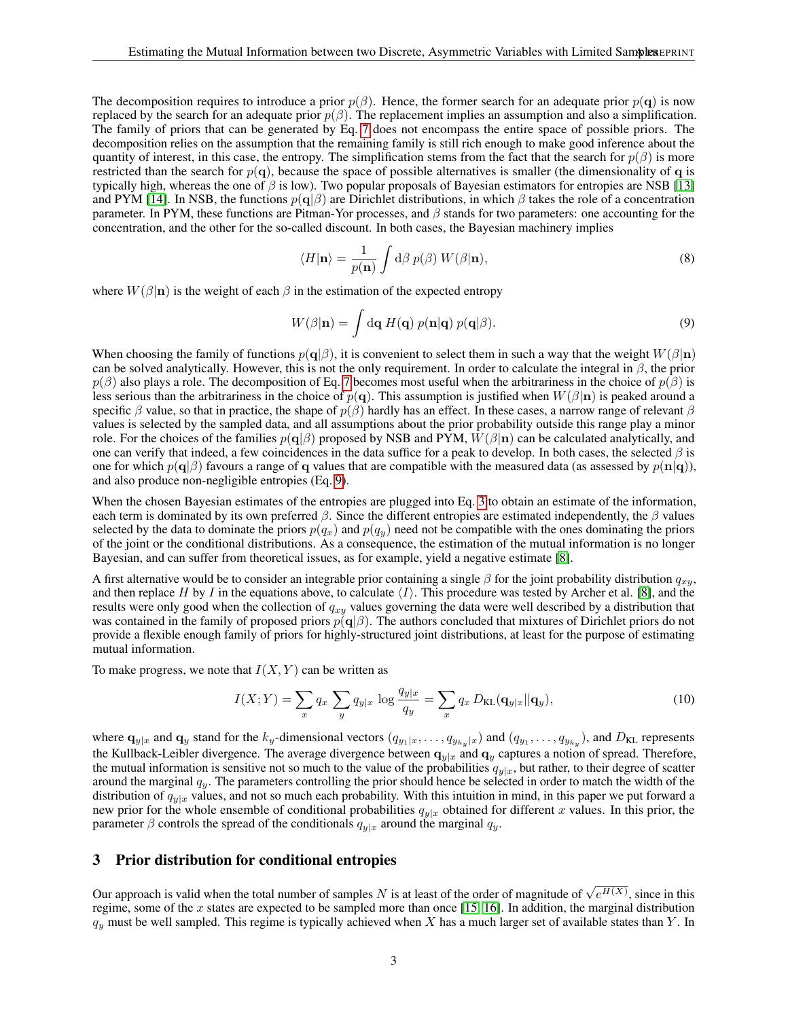The decomposition requires to introduce a prior  $p(\beta)$ . Hence, the former search for an adequate prior  $p(\mathbf{q})$  is now replaced by the search for an adequate prior  $p(\beta)$ . The replacement implies an assumption and also a simplification. The family of priors that can be generated by Eq. [7](#page-1-4) does not encompass the entire space of possible priors. The decomposition relies on the assumption that the remaining family is still rich enough to make good inference about the quantity of interest, in this case, the entropy. The simplification stems from the fact that the search for  $p(\beta)$  is more restricted than the search for  $p(\mathbf{q})$ , because the space of possible alternatives is smaller (the dimensionality of q is typically high, whereas the one of  $\beta$  is low). Two popular proposals of Bayesian estimators for entropies are NSB [\[13\]](#page-12-12) and PYM [\[14\]](#page-12-13). In NSB, the functions  $p(\mathbf{q}|\beta)$  are Dirichlet distributions, in which  $\beta$  takes the role of a concentration parameter. In PYM, these functions are Pitman-Yor processes, and  $\beta$  stands for two parameters: one accounting for the concentration, and the other for the so-called discount. In both cases, the Bayesian machinery implies

<span id="page-2-0"></span>
$$
\langle H|\mathbf{n}\rangle = \frac{1}{p(\mathbf{n})} \int d\beta \ p(\beta) \ W(\beta|\mathbf{n}),\tag{8}
$$

where  $W(\beta|\mathbf{n})$  is the weight of each  $\beta$  in the estimation of the expected entropy

$$
W(\beta|\mathbf{n}) = \int \mathrm{d}\mathbf{q} \, H(\mathbf{q}) \, p(\mathbf{n}|\mathbf{q}) \, p(\mathbf{q}|\beta). \tag{9}
$$

When choosing the family of functions  $p(q|\beta)$ , it is convenient to select them in such a way that the weight  $W(\beta|\mathbf{n})$ can be solved analytically. However, this is not the only requirement. In order to calculate the integral in  $\beta$ , the prior  $p(\beta)$  also plays a role. The decomposition of Eq. [7](#page-1-4) becomes most useful when the arbitrariness in the choice of  $p(\beta)$  is less serious than the arbitrariness in the choice of  $p(q)$ . This assumption is justified when  $W(\beta|n)$  is peaked around a specific  $\beta$  value, so that in practice, the shape of  $p(\beta)$  hardly has an effect. In these cases, a narrow range of relevant  $\beta$ values is selected by the sampled data, and all assumptions about the prior probability outside this range play a minor role. For the choices of the families  $p(q|\beta)$  proposed by NSB and PYM,  $W(\beta|n)$  can be calculated analytically, and one can verify that indeed, a few coincidences in the data suffice for a peak to develop. In both cases, the selected  $\beta$  is one for which  $p(\mathbf{q}|\beta)$  favours a range of q values that are compatible with the measured data (as assessed by  $p(\mathbf{n}|\mathbf{q})$ ), and also produce non-negligible entropies (Eq. [9\)](#page-2-0).

When the chosen Bayesian estimates of the entropies are plugged into Eq. [3](#page-1-0) to obtain an estimate of the information, each term is dominated by its own preferred  $\beta$ . Since the different entropies are estimated independently, the  $\beta$  values selected by the data to dominate the priors  $p(q_x)$  and  $p(q_y)$  need not be compatible with the ones dominating the priors of the joint or the conditional distributions. As a consequence, the estimation of the mutual information is no longer Bayesian, and can suffer from theoretical issues, as for example, yield a negative estimate [\[8\]](#page-12-7).

A first alternative would be to consider an integrable prior containing a single  $\beta$  for the joint probability distribution  $q_{xy}$ , and then replace H by I in the equations above, to calculate  $\langle I \rangle$ . This procedure was tested by Archer et al. [\[8\]](#page-12-7), and the results were only good when the collection of  $q_{x}$  values governing the data were well described by a distribution that was contained in the family of proposed priors  $p(q|\beta)$ . The authors concluded that mixtures of Dirichlet priors do not provide a flexible enough family of priors for highly-structured joint distributions, at least for the purpose of estimating mutual information.

To make progress, we note that  $I(X, Y)$  can be written as

<span id="page-2-1"></span>
$$
I(X;Y) = \sum_{x} q_x \sum_{y} q_{y|x} \log \frac{q_{y|x}}{q_y} = \sum_{x} q_x D_{\text{KL}}(\mathbf{q}_{y|x} || \mathbf{q}_y), \qquad (10)
$$

where  $\mathbf{q}_{y|x}$  and  $\mathbf{q}_y$  stand for the  $k_y$ -dimensional vectors  $(q_{y_1|x}, \ldots, q_{y_{k_y}|x})$  and  $(q_{y_1}, \ldots, q_{y_{k_y}})$ , and  $D_{KL}$  represents the Kullback-Leibler divergence. The average divergence between  $q_{y|x}$  and  $q_y$  captures a notion of spread. Therefore, the mutual information is sensitive not so much to the value of the probabilities  $q_{y|x}$ , but rather, to their degree of scatter around the marginal  $q_y$ . The parameters controlling the prior should hence be selected in order to match the width of the distribution of  $q_{y|x}$  values, and not so much each probability. With this intuition in mind, in this paper we put forward a new prior for the whole ensemble of conditional probabilities  $q_{y|x}$  obtained for different x values. In this prior, the parameter  $\beta$  controls the spread of the conditionals  $q_{y|x}$  around the marginal  $q_y$ .

## 3 Prior distribution for conditional entropies

Our approach is valid when the total number of samples N is at least of the order of magnitude of  $\sqrt{e^{H(X)}}$ , since in this regime, some of the x states are expected to be sampled more than once [\[15,](#page-12-14) [16\]](#page-12-15). In addition, the marginal distribution  $q_y$  must be well sampled. This regime is typically achieved when X has a much larger set of available states than Y. In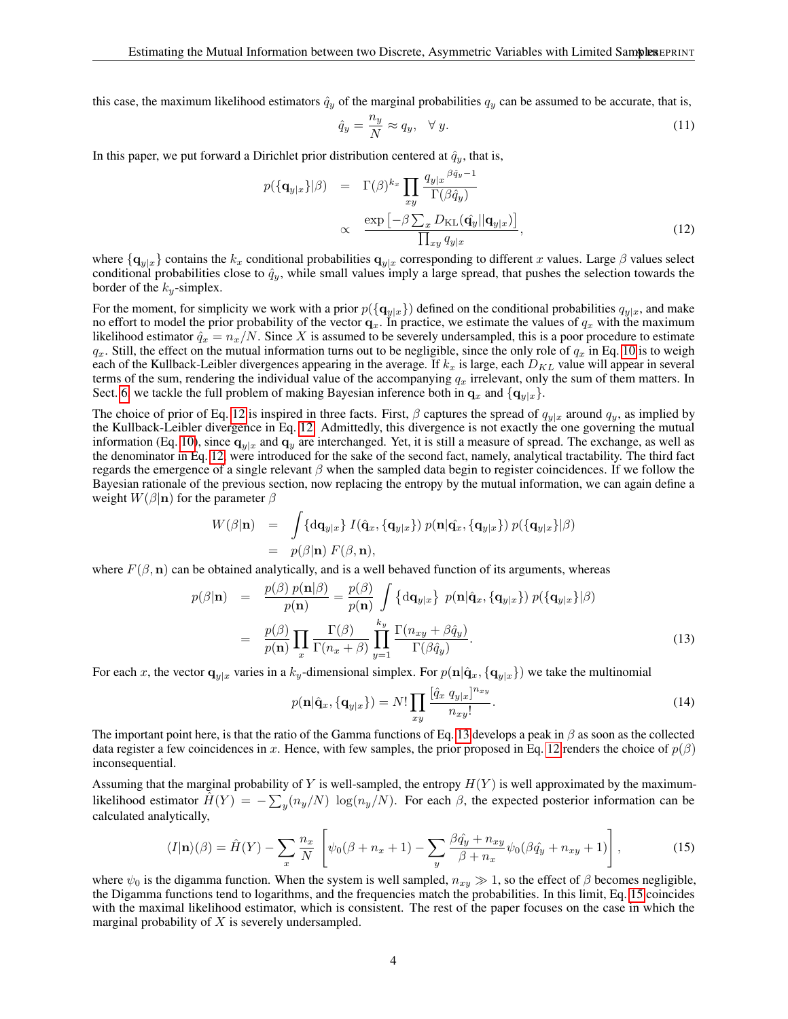this case, the maximum likelihood estimators  $\hat{q}_y$  of the marginal probabilities  $q_y$  can be assumed to be accurate, that is,

$$
\hat{q}_y = \frac{n_y}{N} \approx q_y, \quad \forall y. \tag{11}
$$

In this paper, we put forward a Dirichlet prior distribution centered at  $\hat{q}_y$ , that is,

<span id="page-3-0"></span>
$$
p(\{\mathbf{q}_{y|x}\}|\beta) = \Gamma(\beta)^{k_x} \prod_{xy} \frac{q_{y|x}^{\beta \hat{q}_y - 1}}{\Gamma(\beta \hat{q}_y)}
$$
  
 
$$
\propto \frac{\exp\left[-\beta \sum_{x} D_{\mathrm{KL}}(\hat{\mathbf{q}}_y || \mathbf{q}_{y|x})\right]}{\prod_{xy} q_{y|x}}, \qquad (12)
$$

where  $\{q_{y|x}\}$  contains the  $k_x$  conditional probabilities  $q_{y|x}$  corresponding to different x values. Large  $\beta$  values select conditional probabilities close to  $\hat{q}_y$ , while small values imply a large spread, that pushes the selection towards the border of the  $k_y$ -simplex.

For the moment, for simplicity we work with a prior  $p(\lbrace q_{y|x} \rbrace)$  defined on the conditional probabilities  $q_{y|x}$ , and make no effort to model the prior probability of the vector  $q_x$ . In practice, we estimate the values of  $q_x$  with the maximum likelihood estimator  $\hat{q}_x = n_x/N$ . Since X is assumed to be severely undersampled, this is a poor procedure to estimate  $q_x$ . Still, the effect on the mutual information turns out to be negligible, since the only role of  $q_x$  in Eq. [10](#page-2-1) is to weigh each of the Kullback-Leibler divergences appearing in the average. If  $k_x$  is large, each  $D_{KL}$  value will appear in several terms of the sum, rendering the individual value of the accompanying  $q_x$  irrelevant, only the sum of them matters. In Sect. [6,](#page-9-0) we tackle the full problem of making Bayesian inference both in  $\mathbf{q}_x$  and  $\{\mathbf{q}_{y|x}\}\$ .

The choice of prior of Eq. [12](#page-3-0) is inspired in three facts. First,  $\beta$  captures the spread of  $q_{y|x}$  around  $q_y$ , as implied by the Kullback-Leibler divergence in Eq. [12.](#page-3-0) Admittedly, this divergence is not exactly the one governing the mutual information (Eq. [10\)](#page-2-1), since  $q_{y|x}$  and  $q_y$  are interchanged. Yet, it is still a measure of spread. The exchange, as well as the denominator in Eq. [12,](#page-3-0) were introduced for the sake of the second fact, namely, analytical tractability. The third fact regards the emergence of a single relevant  $\beta$  when the sampled data begin to register coincidences. If we follow the Bayesian rationale of the previous section, now replacing the entropy by the mutual information, we can again define a weight  $W(\beta|\mathbf{n})$  for the parameter  $\beta$ 

<span id="page-3-1"></span>
$$
W(\beta|\mathbf{n}) = \int {\mathrm{d}\mathbf{q}_{y|x}} \, I(\hat{\mathbf{q}}_x, {\mathbf{q}_{y|x}}) \, p(\mathbf{n}|\hat{\mathbf{q}}_x, {\mathbf{q}_{y|x}}) \, p({\mathbf{q}_{y|x}}|\beta)
$$
  
=  $p(\beta|\mathbf{n}) \, F(\beta, \mathbf{n}),$ 

where  $F(\beta, n)$  can be obtained analytically, and is a well behaved function of its arguments, whereas

$$
p(\beta|\mathbf{n}) = \frac{p(\beta) p(\mathbf{n}|\beta)}{p(\mathbf{n})} = \frac{p(\beta)}{p(\mathbf{n})} \int \{d\mathbf{q}_{y|x}\} p(\mathbf{n}|\hat{\mathbf{q}}_x, \{\mathbf{q}_{y|x}\}) p(\{\mathbf{q}_{y|x}\}|\beta)
$$
  

$$
= \frac{p(\beta)}{p(\mathbf{n})} \prod_x \frac{\Gamma(\beta)}{\Gamma(n_x + \beta)} \prod_{y=1}^{k_y} \frac{\Gamma(n_{xy} + \beta \hat{q}_y)}{\Gamma(\beta \hat{q}_y)}.
$$
(13)

For each x, the vector  $\mathbf{q}_{y|x}$  varies in a  $k_y$ -dimensional simplex. For  $p(\mathbf{n}|\hat{\mathbf{q}}_x, {\{\mathbf{q}}_{y|x}\})$  we take the multinomial

$$
p(\mathbf{n}|\hat{\mathbf{q}}_x, \{\mathbf{q}_{y|x}\}) = N! \prod_{xy} \frac{[\hat{q}_x \ q_{y|x}]^{n_{xy}}}{n_{xy}!}.
$$
 (14)

The important point here, is that the ratio of the Gamma functions of Eq. [13](#page-3-1) develops a peak in  $\beta$  as soon as the collected data register a few coincidences in x. Hence, with few samples, the prior proposed in Eq. [12](#page-3-0) renders the choice of  $p(\beta)$ inconsequential.

Assuming that the marginal probability of Y is well-sampled, the entropy  $H(Y)$  is well approximated by the maximumlikelihood estimator  $\hat{H}(Y) = -\sum_{y} (n_y/N) \log(n_y/N)$ . For each  $\beta$ , the expected posterior information can be calculated analytically,

<span id="page-3-2"></span>
$$
\langle I|\mathbf{n}\rangle(\beta) = \hat{H}(Y) - \sum_{x} \frac{n_x}{N} \left[ \psi_0(\beta + n_x + 1) - \sum_{y} \frac{\beta \hat{q}_y + n_{xy}}{\beta + n_x} \psi_0(\beta \hat{q}_y + n_{xy} + 1) \right],\tag{15}
$$

where  $\psi_0$  is the digamma function. When the system is well sampled,  $n_{xy} \gg 1$ , so the effect of β becomes negligible, the Digamma functions tend to logarithms, and the frequencies match the probabilities. In this limit, Eq. [15](#page-3-2) coincides with the maximal likelihood estimator, which is consistent. The rest of the paper focuses on the case in which the marginal probability of  $X$  is severely undersampled.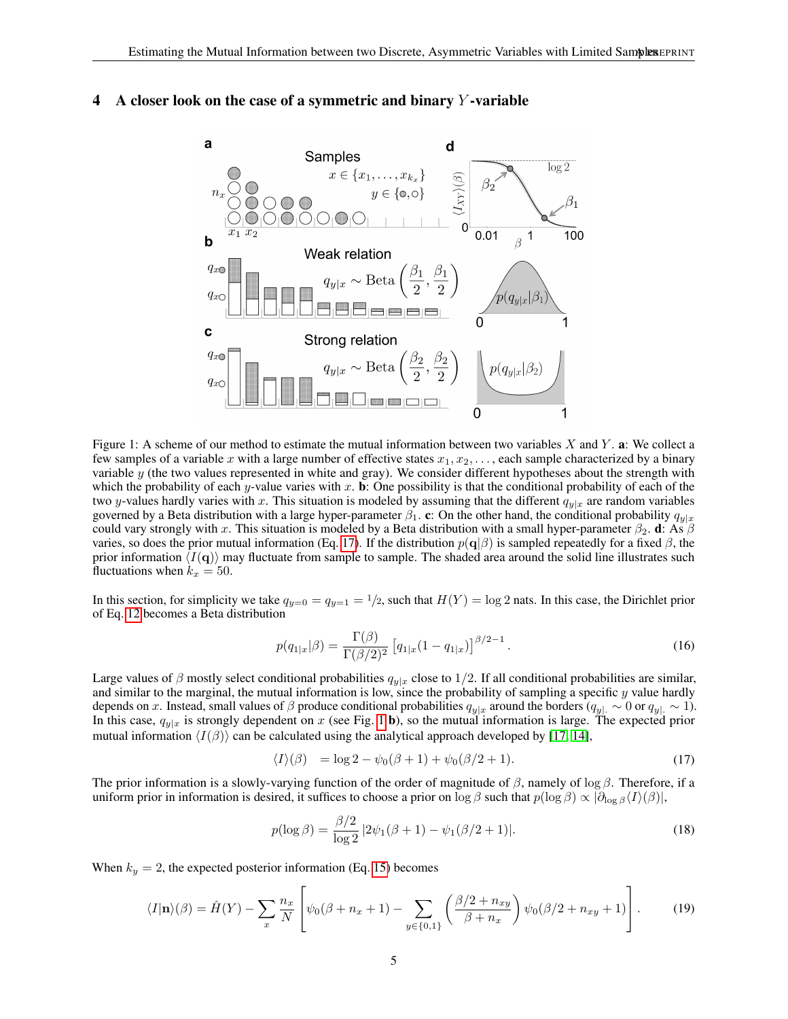

# 4 A closer look on the case of a symmetric and binary  $Y$ -variable

<span id="page-4-1"></span>Figure 1: A scheme of our method to estimate the mutual information between two variables  $X$  and  $Y$ . **a**: We collect a few samples of a variable x with a large number of effective states  $x_1, x_2, \ldots$ , each sample characterized by a binary variable y (the two values represented in white and gray). We consider different hypotheses about the strength with which the probability of each y-value varies with x. **b**: One possibility is that the conditional probability of each of the two y-values hardly varies with x. This situation is modeled by assuming that the different  $q_{v|x}$  are random variables governed by a Beta distribution with a large hyper-parameter  $\beta_1$ . c: On the other hand, the conditional probability  $q_{y|x}$ could vary strongly with x. This situation is modeled by a Beta distribution with a small hyper-parameter  $\beta_2$ . d: As  $\beta$ varies, so does the prior mutual information (Eq. [17\)](#page-4-0). If the distribution  $p(\mathbf{q}|\beta)$  is sampled repeatedly for a fixed  $\beta$ , the prior information  $\langle I(\mathbf{q})\rangle$  may fluctuate from sample to sample. The shaded area around the solid line illustrates such fluctuations when  $k_x = 50$ .

In this section, for simplicity we take  $q_{y=0} = q_{y=1} = 1/2$ , such that  $H(Y) = \log 2$  nats. In this case, the Dirichlet prior of Eq. [12](#page-3-0) becomes a Beta distribution

<span id="page-4-3"></span>
$$
p(q_{1|x}|\beta) = \frac{\Gamma(\beta)}{\Gamma(\beta/2)^2} \left[ q_{1|x}(1 - q_{1|x}) \right]^{\beta/2 - 1}.
$$
 (16)

Large values of  $\beta$  mostly select conditional probabilities  $q_{y|x}$  close to 1/2. If all conditional probabilities are similar, and similar to the marginal, the mutual information is low, since the probability of sampling a specific  $y$  value hardly depends on x. Instead, small values of β produce conditional probabilities  $q_{y|x}$  around the borders  $(q_{y|x} \sim 0$  or  $q_{y|x} \sim 1$ ). In this case,  $q_{y|x}$  is strongly dependent on x (see Fig. [1](#page-4-1) b), so the mutual information is large. The expected prior mutual information  $\langle I(\beta)\rangle$  can be calculated using the analytical approach developed by [\[17,](#page-12-16) [14\]](#page-12-13),

<span id="page-4-4"></span><span id="page-4-0"></span>
$$
\langle I \rangle (\beta) = \log 2 - \psi_0 (\beta + 1) + \psi_0 (\beta / 2 + 1). \tag{17}
$$

The prior information is a slowly-varying function of the order of magnitude of  $\beta$ , namely of log  $\beta$ . Therefore, if a uniform prior in information is desired, it suffices to choose a prior on  $\log \beta$  such that  $p(\log \beta) \propto |\partial_{\log \beta} \langle I \rangle(\beta)|$ ,

<span id="page-4-2"></span>
$$
p(\log \beta) = \frac{\beta/2}{\log 2} |2\psi_1(\beta + 1) - \psi_1(\beta/2 + 1)|.
$$
 (18)

When  $k_y = 2$ , the expected posterior information (Eq. [15\)](#page-3-2) becomes

$$
\langle I|\mathbf{n}\rangle(\beta) = \hat{H}(Y) - \sum_{x} \frac{n_x}{N} \left[ \psi_0(\beta + n_x + 1) - \sum_{y \in \{0,1\}} \left( \frac{\beta/2 + n_{xy}}{\beta + n_x} \right) \psi_0(\beta/2 + n_{xy} + 1) \right].
$$
 (19)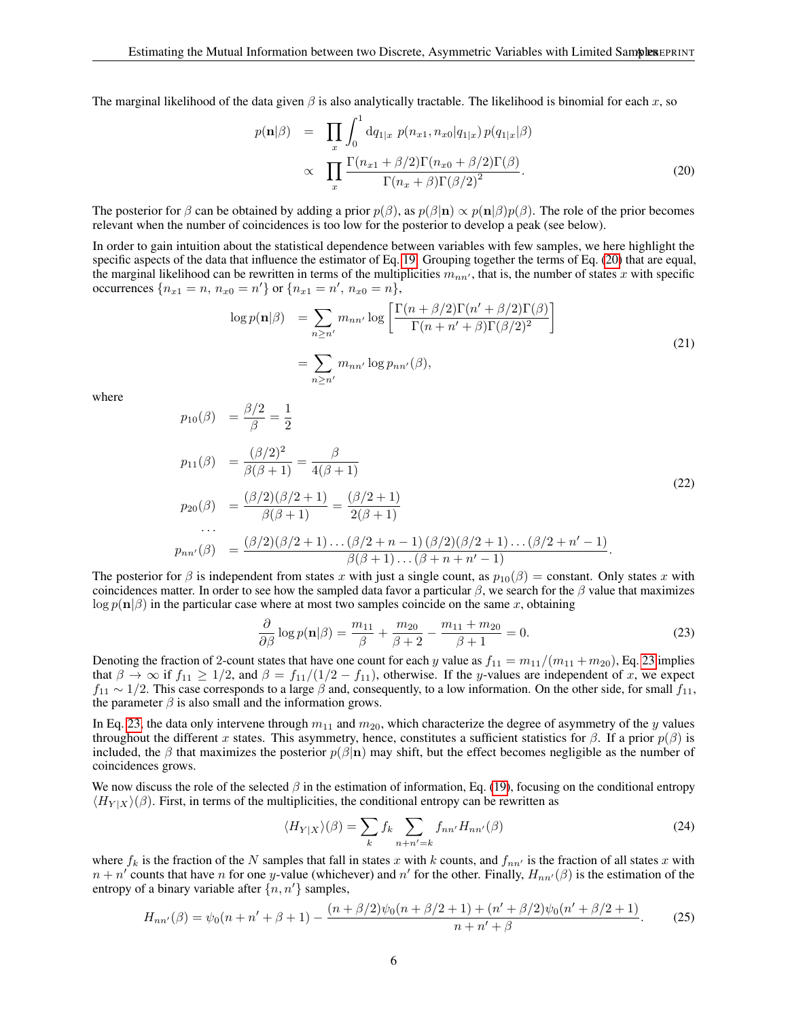The marginal likelihood of the data given  $\beta$  is also analytically tractable. The likelihood is binomial for each x, so

<span id="page-5-0"></span>
$$
p(\mathbf{n}|\beta) = \prod_{x} \int_{0}^{1} dq_{1|x} \ p(n_{x1}, n_{x0}|q_{1|x}) p(q_{1|x}|\beta)
$$
  
 
$$
\propto \prod_{x} \frac{\Gamma(n_{x1} + \beta/2)\Gamma(n_{x0} + \beta/2)\Gamma(\beta)}{\Gamma(n_{x} + \beta)\Gamma(\beta/2)^{2}}.
$$
 (20)

The posterior for  $\beta$  can be obtained by adding a prior  $p(\beta)$ , as  $p(\beta|\mathbf{n}) \propto p(\mathbf{n}|\beta)p(\beta)$ . The role of the prior becomes relevant when the number of coincidences is too low for the posterior to develop a peak (see below).

In order to gain intuition about the statistical dependence between variables with few samples, we here highlight the specific aspects of the data that influence the estimator of Eq. [19.](#page-4-2) Grouping together the terms of Eq. [\(20\)](#page-5-0) that are equal, the marginal likelihood can be rewritten in terms of the multiplicities  $m_{nn'}$ , that is, the number of states x with specific occurrences  $\{n_{x1} = n, n_{x0} = n'\}$  or  $\{n_{x1} = n', n_{x0} = n\},\$ 

 $\overline{1}$ 

$$
\log p(\mathbf{n}|\beta) = \sum_{n \ge n'} m_{nn'} \log \left[ \frac{\Gamma(n + \beta/2)\Gamma(n' + \beta/2)\Gamma(\beta)}{\Gamma(n + n' + \beta)\Gamma(\beta/2)^2} \right]
$$
  
= 
$$
\sum_{n \ge n'} m_{nn'} \log p_{nn'}(\beta),
$$
 (21)

where

$$
p_{10}(\beta) = \frac{\beta/2}{\beta} = \frac{1}{2}
$$
  
\n
$$
p_{11}(\beta) = \frac{(\beta/2)^2}{\beta(\beta+1)} = \frac{\beta}{4(\beta+1)}
$$
  
\n
$$
p_{20}(\beta) = \frac{(\beta/2)(\beta/2+1)}{\beta(\beta+1)} = \frac{(\beta/2+1)}{2(\beta+1)}
$$
  
\n...  
\n
$$
p_{nn'}(\beta) = \frac{(\beta/2)(\beta/2+1)\dots(\beta/2+n-1)(\beta/2)(\beta/2+1)\dots(\beta/2+n'-1)}{\beta(\beta+1)\dots(\beta+n+n'-1)}.
$$
\n(22)

The posterior for  $\beta$  is independent from states x with just a single count, as  $p_{10}(\beta) =$  constant. Only states x with coincidences matter. In order to see how the sampled data favor a particular  $\beta$ , we search for the  $\beta$  value that maximizes  $\log p(n|\beta)$  in the particular case where at most two samples coincide on the same x, obtaining

<span id="page-5-1"></span>
$$
\frac{\partial}{\partial \beta} \log p(\mathbf{n}|\beta) = \frac{m_{11}}{\beta} + \frac{m_{20}}{\beta + 2} - \frac{m_{11} + m_{20}}{\beta + 1} = 0.
$$
 (23)

Denoting the fraction of 2-count states that have one count for each y value as  $f_{11} = m_{11}/(m_{11} + m_{20})$ , Eq. [23](#page-5-1) implies that  $\beta \to \infty$  if  $f_{11} \ge 1/2$ , and  $\beta = f_{11}/(1/2 - f_{11})$ , otherwise. If the y-values are independent of x, we expect  $f_{11} \sim 1/2$ . This case corresponds to a large  $\beta$  and, consequently, to a low information. On the other side, for small  $f_{11}$ , the parameter  $\beta$  is also small and the information grows.

In Eq. [23,](#page-5-1) the data only intervene through  $m_{11}$  and  $m_{20}$ , which characterize the degree of asymmetry of the y values throughout the different x states. This asymmetry, hence, constitutes a sufficient statistics for  $\beta$ . If a prior  $p(\beta)$  is included, the β that maximizes the posterior  $p(\beta|\mathbf{n})$  may shift, but the effect becomes negligible as the number of coincidences grows.

We now discuss the role of the selected  $\beta$  in the estimation of information, Eq. [\(19\)](#page-4-2), focusing on the conditional entropy  $\langle H_{Y|X} \rangle (\beta)$ . First, in terms of the multiplicities, the conditional entropy can be rewritten as

$$
\langle H_{Y|X}\rangle(\beta) = \sum_{k} f_k \sum_{n+n'=k} f_{nn'} H_{nn'}(\beta)
$$
\n(24)

where  $f_k$  is the fraction of the N samples that fall in states x with k counts, and  $f_{nn'}$  is the fraction of all states x with  $n + n'$  counts that have n for one y-value (whichever) and  $n'$  for the other. Finally,  $H_{nn'}(\beta)$  is the estimation of the entropy of a binary variable after  $\{n, n'\}$  samples,

$$
H_{nn'}(\beta) = \psi_0(n + n' + \beta + 1) - \frac{(n + \beta/2)\psi_0(n + \beta/2 + 1) + (n' + \beta/2)\psi_0(n' + \beta/2 + 1)}{n + n' + \beta}.
$$
 (25)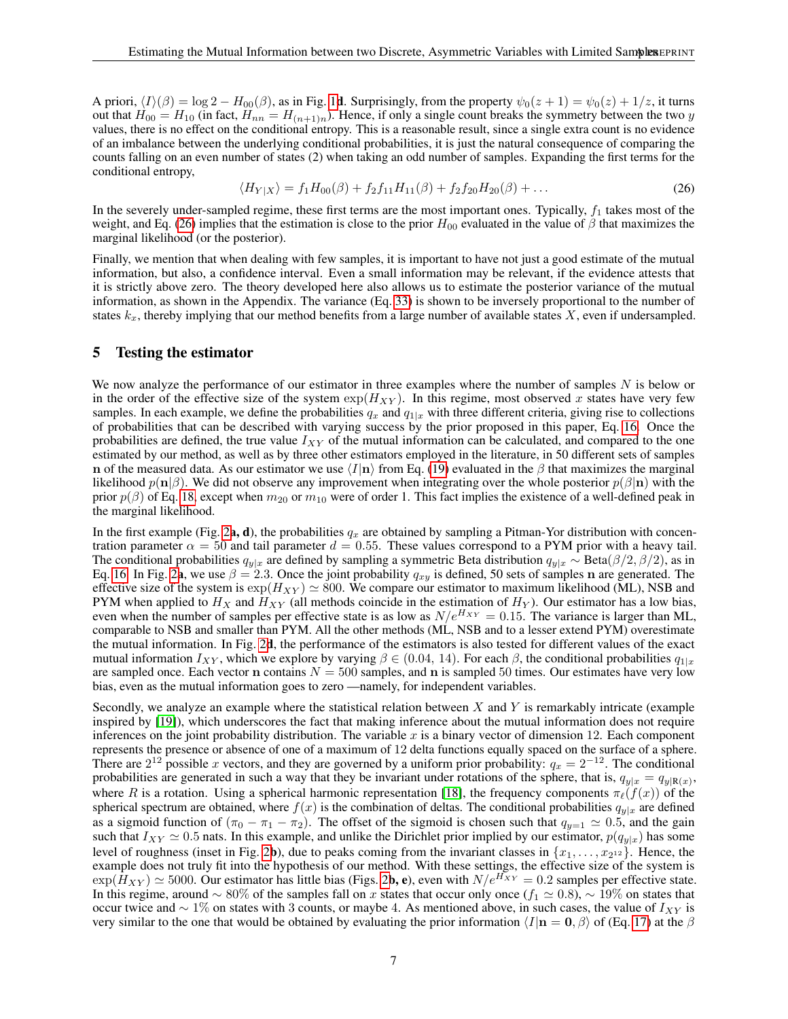A priori,  $\langle I \rangle(\beta) = \log 2 - H_{00}(\beta)$ , as in Fig. [1](#page-4-1)d. Surprisingly, from the property  $\psi_0(z + 1) = \psi_0(z) + 1/z$ , it turns out that  $H_{00} = H_{10}$  (in fact,  $H_{nn} = H_{(n+1)n}$ ). Hence, if only a single count breaks the symmetry between the two y values, there is no effect on the conditional entropy. This is a reasonable result, since a single extra count is no evidence of an imbalance between the underlying conditional probabilities, it is just the natural consequence of comparing the counts falling on an even number of states (2) when taking an odd number of samples. Expanding the first terms for the conditional entropy,

<span id="page-6-0"></span>
$$
\langle H_{Y|X} \rangle = f_1 H_{00}(\beta) + f_2 f_{11} H_{11}(\beta) + f_2 f_{20} H_{20}(\beta) + \dots
$$
 (26)

In the severely under-sampled regime, these first terms are the most important ones. Typically,  $f_1$  takes most of the weight, and Eq. [\(26\)](#page-6-0) implies that the estimation is close to the prior  $H_{00}$  evaluated in the value of  $\beta$  that maximizes the marginal likelihood (or the posterior).

Finally, we mention that when dealing with few samples, it is important to have not just a good estimate of the mutual information, but also, a confidence interval. Even a small information may be relevant, if the evidence attests that it is strictly above zero. The theory developed here also allows us to estimate the posterior variance of the mutual information, as shown in the Appendix. The variance (Eq. [33\)](#page-11-0) is shown to be inversely proportional to the number of states  $k_x$ , thereby implying that our method benefits from a large number of available states  $X$ , even if undersampled.

# <span id="page-6-1"></span>5 Testing the estimator

We now analyze the performance of our estimator in three examples where the number of samples  $N$  is below or in the order of the effective size of the system  $\exp(H_{XY})$ . In this regime, most observed x states have very few samples. In each example, we define the probabilities  $q_x$  and  $q_{1|x}$  with three different criteria, giving rise to collections of probabilities that can be described with varying success by the prior proposed in this paper, Eq. [16.](#page-4-3) Once the probabilities are defined, the true value  $I_{XY}$  of the mutual information can be calculated, and compared to the one estimated by our method, as well as by three other estimators employed in the literature, in 50 different sets of samples n of the measured data. As our estimator we use  $\langle I|\mathbf{n}\rangle$  from Eq. [\(19\)](#page-4-2) evaluated in the  $\beta$  that maximizes the marginal likelihood  $p(n|\beta)$ . We did not observe any improvement when integrating over the whole posterior  $p(\beta|n)$  with the prior  $p(\beta)$  of Eq. [18,](#page-4-4) except when  $m_{20}$  or  $m_{10}$  were of order 1. This fact implies the existence of a well-defined peak in the marginal likelihood.

In the first example (Fig. [2](#page-7-0)a, d), the probabilities  $q_x$  are obtained by sampling a Pitman-Yor distribution with concentration parameter  $\alpha = 50$  and tail parameter  $d = 0.55$ . These values correspond to a PYM prior with a heavy tail. The conditional probabilities  $q_{y|x}$  are defined by sampling a symmetric Beta distribution  $q_{y|x} \sim \text{Beta}(\beta/2, \beta/2)$ , as in Eq. [16.](#page-4-3) In Fig. [2](#page-7-0)a, we use  $\beta = 2.3$ . Once the joint probability  $q_{xy}$  is defined, 50 sets of samples n are generated. The effective size of the system is  $\exp(H_{XY}) \simeq 800$ . We compare our estimator to maximum likelihood (ML), NSB and PYM when applied to  $H_X$  and  $H_{XY}$  (all methods coincide in the estimation of  $H_Y$ ). Our estimator has a low bias, even when the number of samples per effective state is as low as  $N/e^{H_{XY}} = 0.15$ . The variance is larger than ML, comparable to NSB and smaller than PYM. All the other methods (ML, NSB and to a lesser extend PYM) overestimate the mutual information. In Fig. [2](#page-7-0)d, the performance of the estimators is also tested for different values of the exact mutual information  $I_{XY}$ , which we explore by varying  $\beta \in (0.04, 14)$ . For each  $\beta$ , the conditional probabilities  $q_{1|x}$ are sampled once. Each vector n contains  $N = 500$  samples, and n is sampled 50 times. Our estimates have very low bias, even as the mutual information goes to zero —namely, for independent variables.

Secondly, we analyze an example where the statistical relation between  $X$  and  $Y$  is remarkably intricate (example inspired by [\[19\]](#page-13-0)), which underscores the fact that making inference about the mutual information does not require inferences on the joint probability distribution. The variable  $x$  is a binary vector of dimension 12. Each component represents the presence or absence of one of a maximum of 12 delta functions equally spaced on the surface of a sphere. There are  $2^{12}$  possible x vectors, and they are governed by a uniform prior probability:  $q_x = 2^{-12}$ . The conditional probabilities are generated in such a way that they be invariant under rotations of the sphere, that is,  $q_{y|x} = q_{y|R(x)}$ , where R is a rotation. Using a spherical harmonic representation [\[18\]](#page-12-17), the frequency components  $\pi_{\ell}(f(x))$  of the spherical spectrum are obtained, where  $f(x)$  is the combination of deltas. The conditional probabilities  $q_{y|x}$  are defined as a sigmoid function of  $(\pi_0 - \pi_1 - \pi_2)$ . The offset of the sigmoid is chosen such that  $q_{y=1} \approx 0.5$ , and the gain such that  $I_{XY} \simeq 0.5$  nats. In this example, and unlike the Dirichlet prior implied by our estimator,  $p(q_{y|x})$  has some level of roughness (inset in Fig. [2](#page-7-0)b), due to peaks coming from the invariant classes in  $\{x_1, \ldots, x_{2^{12}}\}$ . Hence, the example does not truly fit into the hypothesis of our method. With these settings, the effective size of the system is  $\exp(H_{XY}) \simeq 5000$ . Our estimator has little bias (Figs. [2](#page-7-0)b, e), even with  $N/e^{H_{XY}} = 0.2$  samples per effective state. In this regime, around  $\sim 80\%$  of the samples fall on x states that occur only once  $(f_1 \simeq 0.8)$ ,  $\sim 19\%$  on states that occur twice and  $\sim 1\%$  on states with 3 counts, or maybe 4. As mentioned above, in such cases, the value of  $I_{XY}$  is very similar to the one that would be obtained by evaluating the prior information  $\langle I|n = 0, \beta \rangle$  of (Eq. [17\)](#page-4-0) at the  $\beta$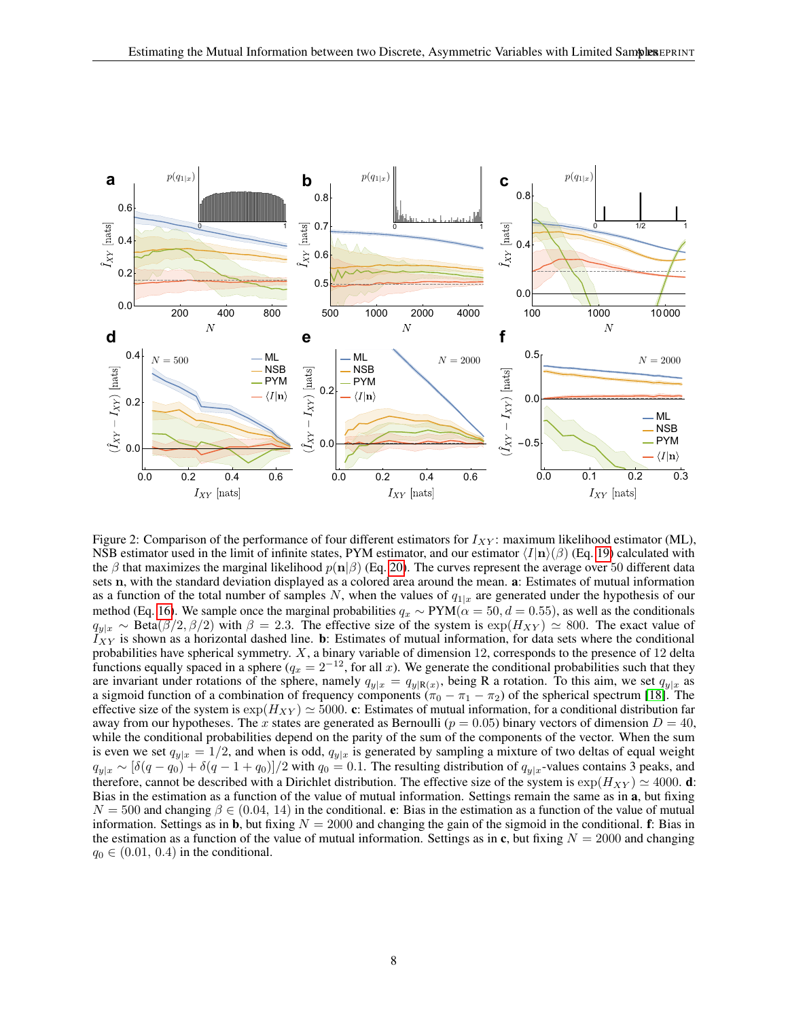

<span id="page-7-0"></span>Figure 2: Comparison of the performance of four different estimators for  $I_{XY}$ : maximum likelihood estimator (ML), NSB estimator used in the limit of infinite states, PYM estimator, and our estimator  $\langle I|\mathbf{n}\rangle(\beta)$  (Eq. [19\)](#page-4-2) calculated with the β that maximizes the marginal likelihood  $p(n|\beta)$  (Eq. [20\)](#page-5-0). The curves represent the average over 50 different data sets n, with the standard deviation displayed as a colored area around the mean. a: Estimates of mutual information as a function of the total number of samples N, when the values of  $q_{1|x}$  are generated under the hypothesis of our method (Eq. [16\)](#page-4-3). We sample once the marginal probabilities  $q_x \sim \text{PYM}(\alpha = 50, d = 0.55)$ , as well as the conditionals  $q_{y|x} \sim \text{Beta}(\beta/2, \beta/2)$  with  $\beta = 2.3$ . The effective size of the system is  $\exp(H_{XY}) \simeq 800$ . The exact value of  $I_{XY}$  is shown as a horizontal dashed line. b: Estimates of mutual information, for data sets where the conditional probabilities have spherical symmetry.  $X$ , a binary variable of dimension 12, corresponds to the presence of 12 delta functions equally spaced in a sphere ( $q_x = 2^{-12}$ , for all x). We generate the conditional probabilities such that they are invariant under rotations of the sphere, namely  $q_{y|x} = q_{y|R(x)}$ , being R a rotation. To this aim, we set  $q_{y|x}$  as a sigmoid function of a combination of frequency components ( $\pi_0 - \pi_1 - \pi_2$ ) of the spherical spectrum [\[18\]](#page-12-17). The effective size of the system is  $\exp(H_{XY}) \simeq 5000$ . c: Estimates of mutual information, for a conditional distribution far away from our hypotheses. The x states are generated as Bernoulli ( $p = 0.05$ ) binary vectors of dimension  $D = 40$ , while the conditional probabilities depend on the parity of the sum of the components of the vector. When the sum is even we set  $q_{y|x} = 1/2$ , and when is odd,  $q_{y|x}$  is generated by sampling a mixture of two deltas of equal weight  $q_{y|x} \sim [\delta(q - q_0) + \delta(q - 1 + q_0)]/2$  with  $q_0 = 0.1$ . The resulting distribution of  $q_{y|x}$ -values contains 3 peaks, and therefore, cannot be described with a Dirichlet distribution. The effective size of the system is  $\exp(H_{XY}) \simeq 4000$ . d: Bias in the estimation as a function of the value of mutual information. Settings remain the same as in a, but fixing  $N = 500$  and changing  $\beta \in (0.04, 14)$  in the conditional. e: Bias in the estimation as a function of the value of mutual information. Settings as in **b**, but fixing  $N = 2000$  and changing the gain of the sigmoid in the conditional. **f**: Bias in the estimation as a function of the value of mutual information. Settings as in c, but fixing  $N = 2000$  and changing  $q_0 \in (0.01, 0.4)$  in the conditional.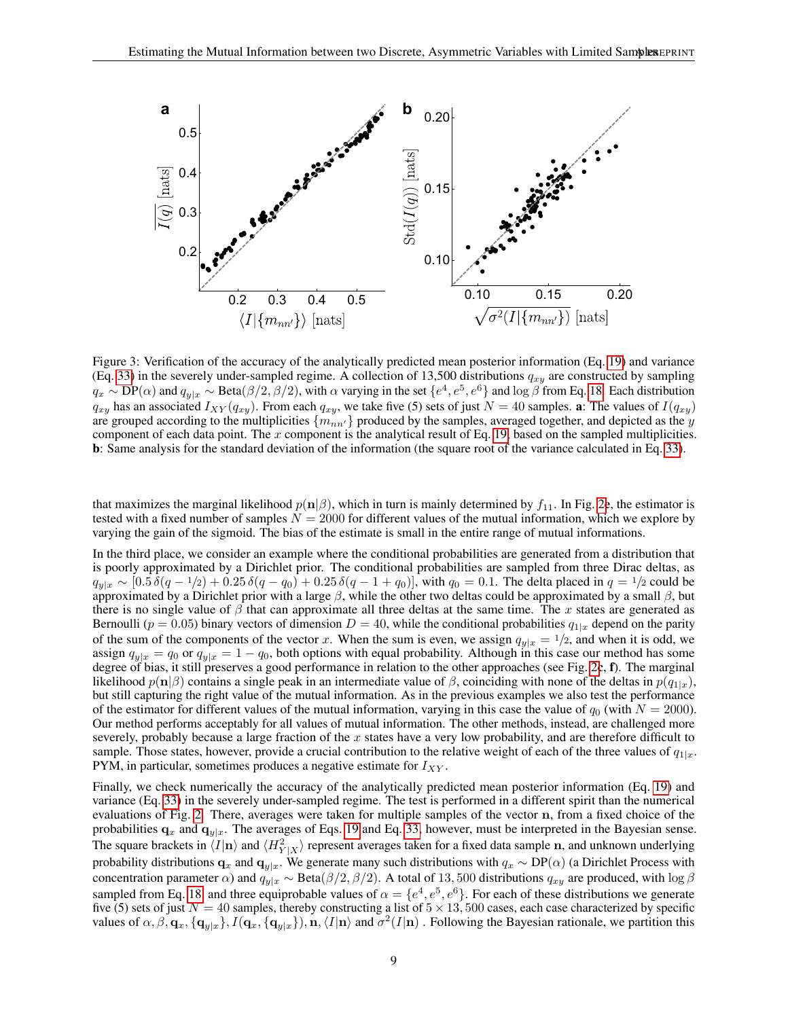

<span id="page-8-0"></span>Figure 3: Verification of the accuracy of the analytically predicted mean posterior information (Eq. [19\)](#page-4-2) and variance (Eq. [33\)](#page-11-0) in the severely under-sampled regime. A collection of 13,500 distributions  $q_{xy}$  are constructed by sampling  $q_x \sim DP(\alpha)$  and  $q_{y|x} \sim Beta(\beta/2, \beta/2)$ , with  $\alpha$  varying in the set  $\{e^4, e^5, e^6\}$  and  $\log \beta$  from Eq. [18.](#page-4-4) Each distribution  $q_{xy}$  has an associated  $I_{XY}(q_{xy})$ . From each  $q_{xy}$ , we take five (5) sets of just  $N = 40$  samples. a: The values of  $I(q_{xy})$ are grouped according to the multiplicities  $\{m_{nn'}\}$  produced by the samples, averaged together, and depicted as the y component of each data point. The x component is the analytical result of Eq. [19,](#page-4-2) based on the sampled multiplicities. b: Same analysis for the standard deviation of the information (the square root of the variance calculated in Eq. [33\)](#page-11-0).

that maximizes the marginal likelihood  $p(n|\beta)$ , which in turn is mainly determined by  $f_{11}$ . In Fig. [2](#page-7-0)e, the estimator is tested with a fixed number of samples  $N = 2000$  for different values of the mutual information, which we explore by varying the gain of the sigmoid. The bias of the estimate is small in the entire range of mutual informations.

In the third place, we consider an example where the conditional probabilities are generated from a distribution that is poorly approximated by a Dirichlet prior. The conditional probabilities are sampled from three Dirac deltas, as  $q_{y|x} \sim [0.5 \delta(q-1/2)+0.25 \delta(q-q_0)+0.25 \delta(q-1+q_0)],$  with  $q_0 = 0.1$ . The delta placed in  $q = 1/2$  could be approximated by a Dirichlet prior with a large  $\beta$ , while the other two deltas could be approximated by a small  $\beta$ , but there is no single value of  $\beta$  that can approximate all three deltas at the same time. The x states are generated as Bernoulli ( $p = 0.05$ ) binary vectors of dimension  $D = 40$ , while the conditional probabilities  $q_{1|x}$  depend on the parity of the sum of the components of the vector x. When the sum is even, we assign  $q_{y|x} = 1/2$ , and when it is odd, we assign  $q_{y|x} = q_0$  or  $q_{y|x} = 1 - q_0$ , both options with equal probability. Although in this case our method has some degree of bias, it still preserves a good performance in relation to the other approaches (see Fig. [2](#page-7-0)c, f). The marginal likelihood  $p(n|\beta)$  contains a single peak in an intermediate value of  $\beta$ , coinciding with none of the deltas in  $p(q_{1|x})$ , but still capturing the right value of the mutual information. As in the previous examples we also test the performance of the estimator for different values of the mutual information, varying in this case the value of  $q_0$  (with  $N = 2000$ ). Our method performs acceptably for all values of mutual information. The other methods, instead, are challenged more severely, probably because a large fraction of the  $x$  states have a very low probability, and are therefore difficult to sample. Those states, however, provide a crucial contribution to the relative weight of each of the three values of  $q_{1|x}$ . PYM, in particular, sometimes produces a negative estimate for  $I_{XY}$ .

Finally, we check numerically the accuracy of the analytically predicted mean posterior information (Eq. [19\)](#page-4-2) and variance (Eq. [33\)](#page-11-0) in the severely under-sampled regime. The test is performed in a different spirit than the numerical evaluations of Fig. [2.](#page-7-0) There, averages were taken for multiple samples of the vector n, from a fixed choice of the probabilities  $q_x$  and  $q_{y|x}$ . The averages of Eqs. [19](#page-4-2) and Eq. [33,](#page-11-0) however, must be interpreted in the Bayesian sense. The square brackets in  $\langle I|\mathbf{n}\rangle$  and  $\langle H_{Y|X}^2\rangle$  represent averages taken for a fixed data sample n, and unknown underlying probability distributions  $q_x$  and  $q_{y|x}$ . We generate many such distributions with  $q_x \sim DP(\alpha)$  (a Dirichlet Process with concentration parameter  $\alpha$ ) and  $q_{v|x} \sim \text{Beta}(\beta/2, \beta/2)$ . A total of 13,500 distributions  $q_{xy}$  are produced, with log  $\beta$ sampled from Eq. [18,](#page-4-4) and three equiprobable values of  $\alpha = \{e^4, e^5, e^6\}$ . For each of these distributions we generate five (5) sets of just  $N = 40$  samples, thereby constructing a list of  $5 \times 13$ , 500 cases, each case characterized by specific values of  $\alpha, \beta, \mathbf{q}_x, \{\mathbf{q}_{y|x}\}, I(\mathbf{q}_x, \{\mathbf{q}_{y|x}\}), \mathbf{n}, \langle I | \mathbf{n} \rangle$  and  $\sigma^2(I|\mathbf{n})$  . Following the Bayesian rationale, we partition this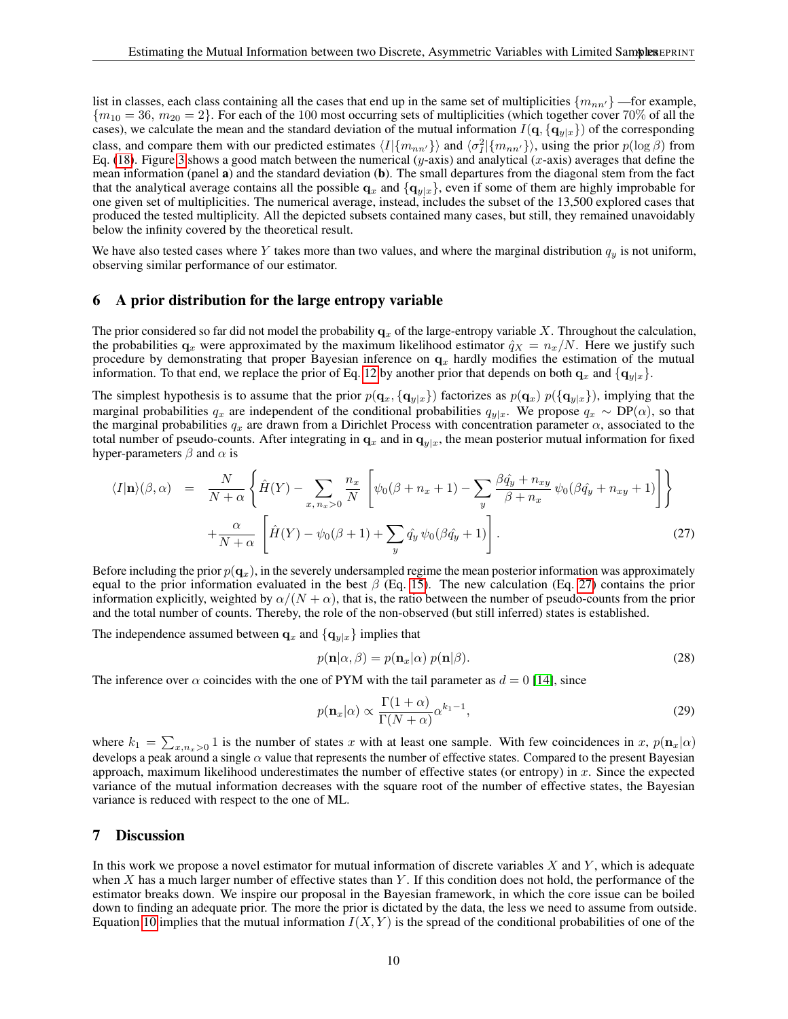list in classes, each class containing all the cases that end up in the same set of multiplicities  $\{m_{nn'}\}$ —for example,  ${m_{10} = 36, m_{20} = 2}$ . For each of the 100 most occurring sets of multiplicities (which together cover 70% of all the cases), we calculate the mean and the standard deviation of the mutual information  $I(q, \{q_{y|x}\})$  of the corresponding class, and compare them with our predicted estimates  $\langle I|\{m_{nn'}\}\rangle$  and  $\langle \sigma_I^2|\{m_{nn'}\}\rangle$ , using the prior  $p(\log \beta)$  from Eq. [\(18\)](#page-4-4). Figure [3](#page-8-0) shows a good match between the numerical (y-axis) and analytical (x-axis) averages that define the mean information (panel a) and the standard deviation (b). The small departures from the diagonal stem from the fact that the analytical average contains all the possible  $q_x$  and  $\{q_{y|x}\}\$ , even if some of them are highly improbable for one given set of multiplicities. The numerical average, instead, includes the subset of the 13,500 explored cases that produced the tested multiplicity. All the depicted subsets contained many cases, but still, they remained unavoidably below the infinity covered by the theoretical result.

We have also tested cases where Y takes more than two values, and where the marginal distribution  $q_y$  is not uniform, observing similar performance of our estimator.

#### <span id="page-9-0"></span>6 A prior distribution for the large entropy variable

The prior considered so far did not model the probability  $q_x$  of the large-entropy variable X. Throughout the calculation, the probabilities  $q_x$  were approximated by the maximum likelihood estimator  $\hat{q}_x = n_x/N$ . Here we justify such procedure by demonstrating that proper Bayesian inference on  $q_x$  hardly modifies the estimation of the mutual information. To that end, we replace the prior of Eq. [12](#page-3-0) by another prior that depends on both  $\mathbf{q}_x$  and  $\{ \mathbf{q}_{y|x} \}$ .

The simplest hypothesis is to assume that the prior  $p(\mathbf{q}_x, {\{\mathbf{q}}_{y|x}\})$  factorizes as  $p(\mathbf{q}_x) p({\{\mathbf{q}}_{y|x}\})$ , implying that the marginal probabilities  $q_x$  are independent of the conditional probabilities  $q_{y|x}$ . We propose  $q_x \sim DP(\alpha)$ , so that the marginal probabilities  $q_x$  are drawn from a Dirichlet Process with concentration parameter  $\alpha$ , associated to the total number of pseudo-counts. After integrating in  $\mathbf{q}_x$  and in  $\mathbf{q}_{y|x}$ , the mean posterior mutual information for fixed hyper-parameters  $\beta$  and  $\alpha$  is

<span id="page-9-1"></span>
$$
\langle I|\mathbf{n}\rangle(\beta,\alpha) = \frac{N}{N+\alpha} \left\{ \hat{H}(Y) - \sum_{x,\,n_x>0} \frac{n_x}{N} \left[ \psi_0(\beta+n_x+1) - \sum_y \frac{\beta \hat{q}_y + n_{xy}}{\beta+n_x} \psi_0(\beta \hat{q}_y+n_{xy}+1) \right] \right\}
$$

$$
+ \frac{\alpha}{N+\alpha} \left[ \hat{H}(Y) - \psi_0(\beta+1) + \sum_y \hat{q}_y \psi_0(\beta \hat{q}_y+1) \right].
$$
(27)

Before including the prior  $p(\mathbf{q}_x)$ , in the severely undersampled regime the mean posterior information was approximately equal to the prior information evaluated in the best  $\beta$  (Eq. [15\)](#page-3-2). The new calculation (Eq. [27\)](#page-9-1) contains the prior information explicitly, weighted by  $\alpha/(N + \alpha)$ , that is, the ratio between the number of pseudo-counts from the prior and the total number of counts. Thereby, the role of the non-observed (but still inferred) states is established.

The independence assumed between  $\mathbf{q}_x$  and  $\{\mathbf{q}_{y|x}\}\$ implies that

$$
p(\mathbf{n}|\alpha,\beta) = p(\mathbf{n}_x|\alpha) \ p(\mathbf{n}|\beta). \tag{28}
$$

The inference over  $\alpha$  coincides with the one of PYM with the tail parameter as  $d = 0$  [\[14\]](#page-12-13), since

$$
p(\mathbf{n}_x|\alpha) \propto \frac{\Gamma(1+\alpha)}{\Gamma(N+\alpha)} \alpha^{k_1-1},\tag{29}
$$

where  $k_1 = \sum_{x,n_x>0} 1$  is the number of states x with at least one sample. With few coincidences in x,  $p(\mathbf{n}_x|\alpha)$ develops a peak around a single  $\alpha$  value that represents the number of effective states. Compared to the present Bayesian approach, maximum likelihood underestimates the number of effective states (or entropy) in  $x$ . Since the expected variance of the mutual information decreases with the square root of the number of effective states, the Bayesian variance is reduced with respect to the one of ML.

## 7 Discussion

In this work we propose a novel estimator for mutual information of discrete variables  $X$  and  $Y$ , which is adequate when  $X$  has a much larger number of effective states than  $Y$ . If this condition does not hold, the performance of the estimator breaks down. We inspire our proposal in the Bayesian framework, in which the core issue can be boiled down to finding an adequate prior. The more the prior is dictated by the data, the less we need to assume from outside. Equation [10](#page-2-1) implies that the mutual information  $I(X, Y)$  is the spread of the conditional probabilities of one of the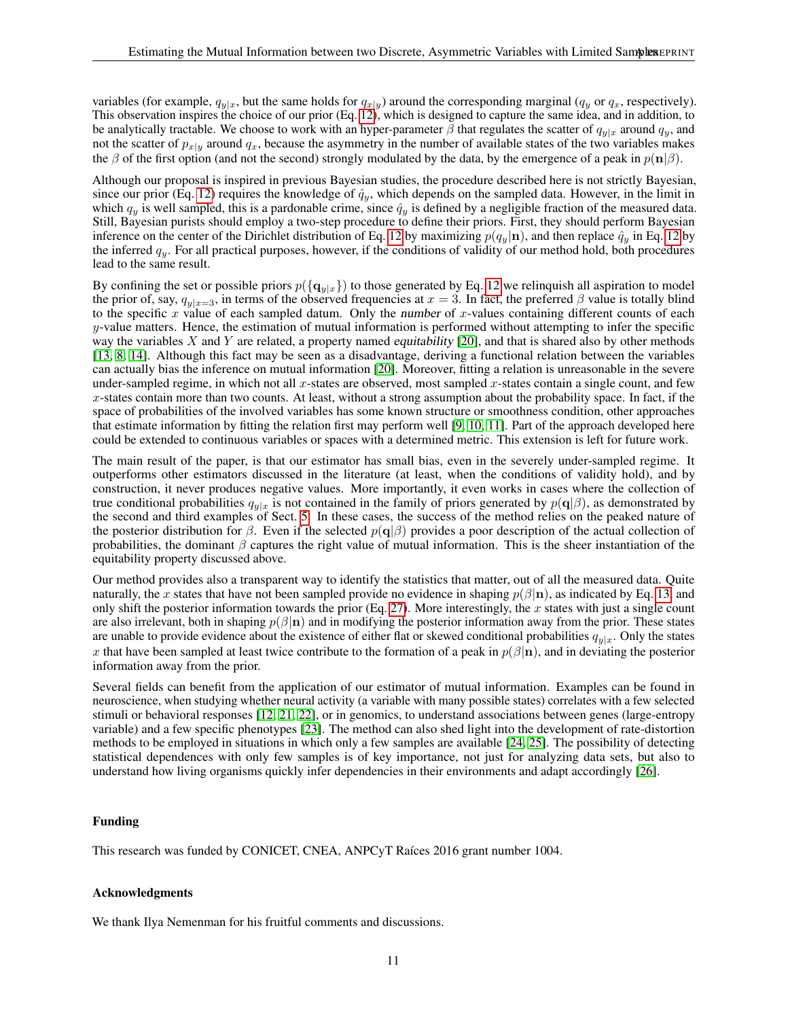variables (for example,  $q_{y|x}$ , but the same holds for  $q_{x|y}$ ) around the corresponding marginal ( $q_y$  or  $q_x$ , respectively). This observation inspires the choice of our prior (Eq. [12\)](#page-3-0), which is designed to capture the same idea, and in addition, to be analytically tractable. We choose to work with an hyper-parameter  $\bar{\beta}$  that regulates the scatter of  $q_{y|x}$  around  $q_y$ , and not the scatter of  $p_{x|y}$  around  $q_x$ , because the asymmetry in the number of available states of the two variables makes the β of the first option (and not the second) strongly modulated by the data, by the emergence of a peak in  $p(n|\beta)$ .

Although our proposal is inspired in previous Bayesian studies, the procedure described here is not strictly Bayesian, since our prior (Eq. [12\)](#page-3-0) requires the knowledge of  $\hat{q}_y$ , which depends on the sampled data. However, in the limit in which  $q_y$  is well sampled, this is a pardonable crime, since  $\hat{q}_y$  is defined by a negligible fraction of the measured data. Still, Bayesian purists should employ a two-step procedure to define their priors. First, they should perform Bayesian inference on the center of the Dirichlet distribution of Eq. [12](#page-3-0) by maximizing  $p(q_y|\mathbf{n})$ , and then replace  $\hat{q}_y$  in Eq. 12 by the inferred  $q_y$ . For all practical purposes, however, if the conditions of validity of our method hold, both procedures lead to the same result.

By confining the set or possible priors  $p(\lbrace q_{y|x} \rbrace)$  to those generated by Eq. [12](#page-3-0) we relinquish all aspiration to model the prior of, say,  $q_{y|x=3}$ , in terms of the observed frequencies at  $x = 3$ . In fact, the preferred  $\beta$  value is totally blind to the specific x value of each sampled datum. Only the number of x-values containing different counts of each  $y$ -value matters. Hence, the estimation of mutual information is performed without attempting to infer the specific way the variables  $X$  and  $Y$  are related, a property named *equitability* [\[20\]](#page-13-1), and that is shared also by other methods [\[13,](#page-12-12) [8,](#page-12-7) [14\]](#page-12-13). Although this fact may be seen as a disadvantage, deriving a functional relation between the variables can actually bias the inference on mutual information [\[20\]](#page-13-1). Moreover, fitting a relation is unreasonable in the severe under-sampled regime, in which not all  $x$ -states are observed, most sampled  $x$ -states contain a single count, and few  $x$ -states contain more than two counts. At least, without a strong assumption about the probability space. In fact, if the space of probabilities of the involved variables has some known structure or smoothness condition, other approaches that estimate information by fitting the relation first may perform well [\[9,](#page-12-8) [10,](#page-12-9) [11\]](#page-12-10). Part of the approach developed here could be extended to continuous variables or spaces with a determined metric. This extension is left for future work.

The main result of the paper, is that our estimator has small bias, even in the severely under-sampled regime. It outperforms other estimators discussed in the literature (at least, when the conditions of validity hold), and by construction, it never produces negative values. More importantly, it even works in cases where the collection of true conditional probabilities  $q_{y|x}$  is not contained in the family of priors generated by  $p(q|\beta)$ , as demonstrated by the second and third examples of Sect. [5.](#page-6-1) In these cases, the success of the method relies on the peaked nature of the posterior distribution for  $\beta$ . Even if the selected  $p(q|\beta)$  provides a poor description of the actual collection of probabilities, the dominant  $\beta$  captures the right value of mutual information. This is the sheer instantiation of the equitability property discussed above.

Our method provides also a transparent way to identify the statistics that matter, out of all the measured data. Quite naturally, the x states that have not been sampled provide no evidence in shaping  $p(\beta|\mathbf{n})$ , as indicated by Eq. [13,](#page-3-1) and only shift the posterior information towards the prior (Eq. [27\)](#page-9-1). More interestingly, the  $x$  states with just a single count are also irrelevant, both in shaping  $p(\beta|\mathbf{n})$  and in modifying the posterior information away from the prior. These states are unable to provide evidence about the existence of either flat or skewed conditional probabilities  $q_{y|x}$ . Only the states x that have been sampled at least twice contribute to the formation of a peak in  $p(\beta|\mathbf{n})$ , and in deviating the posterior information away from the prior.

Several fields can benefit from the application of our estimator of mutual information. Examples can be found in neuroscience, when studying whether neural activity (a variable with many possible states) correlates with a few selected stimuli or behavioral responses [\[12,](#page-12-11) [21,](#page-13-2) [22\]](#page-13-3), or in genomics, to understand associations between genes (large-entropy variable) and a few specific phenotypes [\[23\]](#page-13-4). The method can also shed light into the development of rate-distortion methods to be employed in situations in which only a few samples are available [\[24,](#page-13-5) [25\]](#page-13-6). The possibility of detecting statistical dependences with only few samples is of key importance, not just for analyzing data sets, but also to understand how living organisms quickly infer dependencies in their environments and adapt accordingly [\[26\]](#page-13-7).

## Funding

This research was funded by CONICET, CNEA, ANPCyT Raíces 2016 grant number 1004.

#### Acknowledgments

We thank Ilya Nemenman for his fruitful comments and discussions.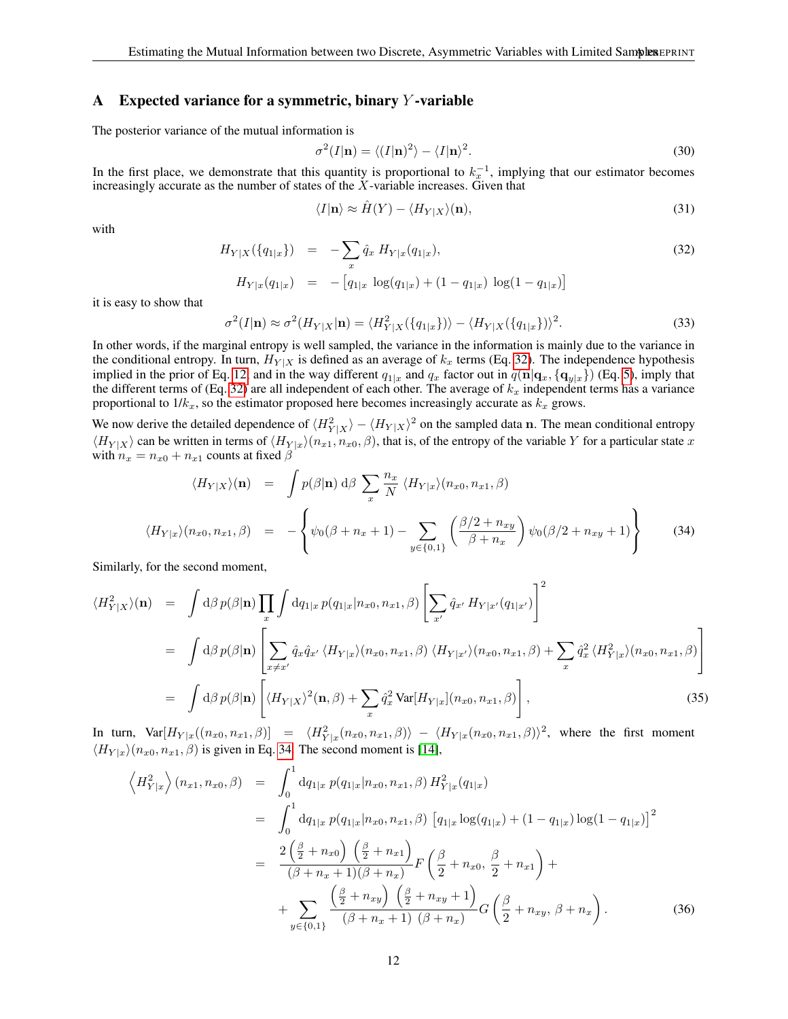# A Expected variance for a symmetric, binary  $Y$ -variable

The posterior variance of the mutual information is

<span id="page-11-4"></span>
$$
\sigma^2(I|\mathbf{n}) = \langle (I|\mathbf{n})^2 \rangle - \langle I|\mathbf{n} \rangle^2. \tag{30}
$$

In the first place, we demonstrate that this quantity is proportional to  $k_x^{-1}$ , implying that our estimator becomes increasingly accurate as the number of states of the  $X$ -variable increases. Given that

$$
\langle I|\mathbf{n}\rangle \approx \hat{H}(Y) - \langle H_{Y|X}\rangle(\mathbf{n}),\tag{31}
$$

with

<span id="page-11-1"></span>
$$
H_{Y|X}(\{q_{1|x}\}) = -\sum_{x} \hat{q}_x H_{Y|x}(q_{1|x}),
$$
  
\n
$$
H_{Y|x}(q_{1|x}) = -[q_{1|x} \log(q_{1|x}) + (1 - q_{1|x}) \log(1 - q_{1|x})]
$$
\n(32)

it is easy to show that

<span id="page-11-0"></span>
$$
\sigma^2(I|\mathbf{n}) \approx \sigma^2(H_{Y|X}|\mathbf{n}) = \langle H^2_{Y|X}(\{q_{1|x}\})\rangle - \langle H_{Y|X}(\{q_{1|x}\})\rangle^2.
$$
\n(33)

In other words, if the marginal entropy is well sampled, the variance in the information is mainly due to the variance in the conditional entropy. In turn,  $H_{Y|X}$  is defined as an average of  $k_x$  terms (Eq. [32\)](#page-11-1). The independence hypothesis implied in the prior of Eq. [12,](#page-3-0) and in the way different  $q_{1|x}$  and  $q_x$  factor out in  $q(\mathbf{n}|\mathbf{q}_x, {\{\mathbf{q}}_{y|x}\})$  (Eq. [5\)](#page-1-2), imply that the different terms of (Eq. [32\)](#page-11-1) are all independent of each other. The average of  $k_x$  independent terms has a variance proportional to  $1/k_x$ , so the estimator proposed here becomes increasingly accurate as  $k_x$  grows.

We now derive the detailed dependence of  $\langle H_{Y|X}^2 \rangle - \langle H_{Y|X} \rangle^2$  on the sampled data n. The mean conditional entropy  $\langle H_{Y|X}\rangle$  can be written in terms of  $\langle H_{Y|x}\rangle(n_{x1}, n_{x0}, \beta)$ , that is, of the entropy of the variable Y for a particular state x with  $n_x = n_{x0} + n_{x1}$  counts at fixed  $\beta$ 

<span id="page-11-2"></span>
$$
\langle H_{Y|X}\rangle(\mathbf{n}) = \int p(\beta|\mathbf{n}) \, d\beta \sum_{x} \frac{n_x}{N} \langle H_{Y|x}\rangle(n_{x0}, n_{x1}, \beta)
$$

$$
\langle H_{Y|x}\rangle(n_{x0}, n_{x1}, \beta) = -\left\{\psi_0(\beta + n_x + 1) - \sum_{y \in \{0,1\}} \left(\frac{\beta/2 + n_{xy}}{\beta + n_x}\right) \psi_0(\beta/2 + n_{xy} + 1)\right\}
$$
(34)

Similarly, for the second moment,

<span id="page-11-3"></span>
$$
\langle H_{Y|X}^2 \rangle(\mathbf{n}) = \int d\beta \, p(\beta | \mathbf{n}) \prod_x \int dq_{1|x} \, p(q_{1|x}|n_{x0}, n_{x1}, \beta) \left[ \sum_{x'} \hat{q}_{x'} \, H_{Y|x'}(q_{1|x'}) \right]^2
$$
  
\n
$$
= \int d\beta \, p(\beta | \mathbf{n}) \left[ \sum_{x \neq x'} \hat{q}_x \hat{q}_{x'} \, \langle H_{Y|x} \rangle (n_{x0}, n_{x1}, \beta) \, \langle H_{Y|x'} \rangle (n_{x0}, n_{x1}, \beta) + \sum_x \hat{q}_x^2 \, \langle H_{Y|x}^2 \rangle (n_{x0}, n_{x1}, \beta) \right]
$$
  
\n
$$
= \int d\beta \, p(\beta | \mathbf{n}) \left[ \langle H_{Y|X} \rangle^2 (\mathbf{n}, \beta) + \sum_x \hat{q}_x^2 \, \text{Var}[H_{Y|x}](n_{x0}, n_{x1}, \beta) \right], \tag{35}
$$

In turn,  $Var[H_{Y|x}((n_{x0}, n_{x1}, \beta)] = \langle H_{Y|x}^2(n_{x0}, n_{x1}, \beta) \rangle - \langle H_{Y|x}(n_{x0}, n_{x1}, \beta) \rangle^2$ , where the first moment  $\langle H_{Y|x}\rangle(n_{x0}, n_{x1}, \beta)$  is given in Eq. [34.](#page-11-2) The second moment is [\[14\]](#page-12-13),

$$
\left\langle H_{Y|x}^{2}\right\rangle (n_{x1}, n_{x0}, \beta) = \int_{0}^{1} dq_{1|x} p(q_{1|x}|n_{x0}, n_{x1}, \beta) H_{Y|x}^{2}(q_{1|x})
$$
  
\n
$$
= \int_{0}^{1} dq_{1|x} p(q_{1|x}|n_{x0}, n_{x1}, \beta) [q_{1|x} \log(q_{1|x}) + (1 - q_{1|x}) \log(1 - q_{1|x})]^{2}
$$
  
\n
$$
= \frac{2\left(\frac{\beta}{2} + n_{x0}\right)\left(\frac{\beta}{2} + n_{x1}\right)}{(\beta + n_{x} + 1)(\beta + n_{x})} F\left(\frac{\beta}{2} + n_{x0}, \frac{\beta}{2} + n_{x1}\right) +
$$
  
\n
$$
+ \sum_{y \in \{0,1\}} \frac{\left(\frac{\beta}{2} + n_{xy}\right)\left(\frac{\beta}{2} + n_{xy} + 1\right)}{(\beta + n_{x} + 1)(\beta + n_{x})} G\left(\frac{\beta}{2} + n_{xy}, \beta + n_{x}\right).
$$
 (36)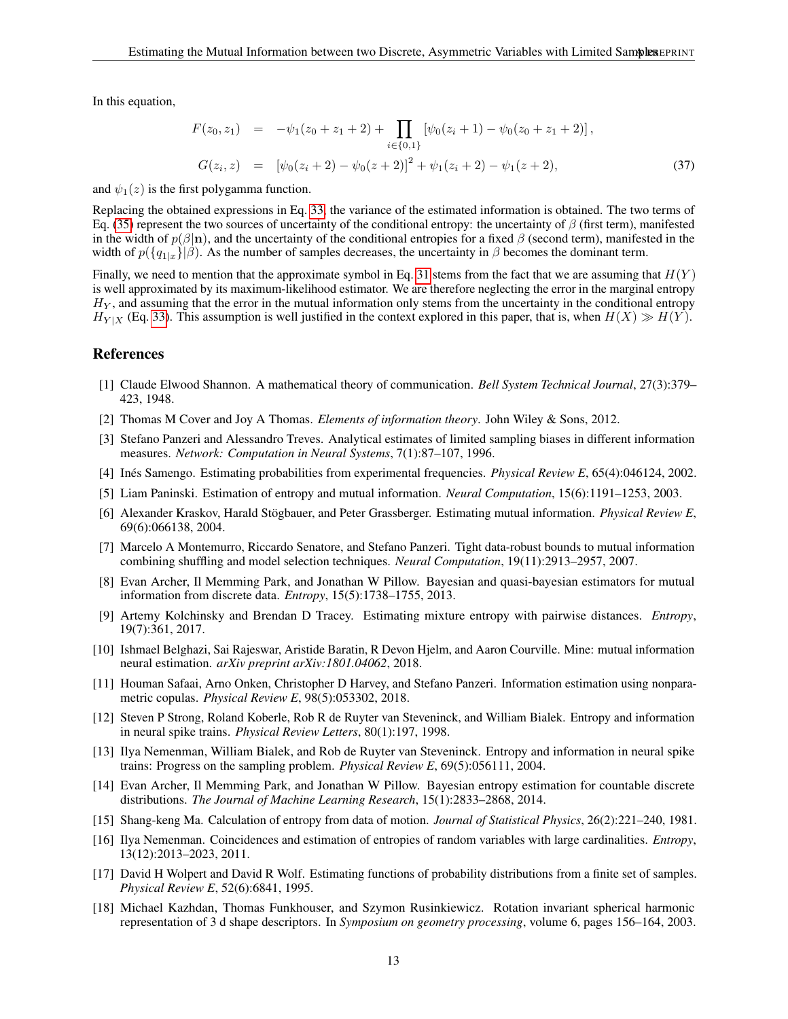In this equation,

$$
F(z_0, z_1) = -\psi_1(z_0 + z_1 + 2) + \prod_{i \in \{0, 1\}} [\psi_0(z_i + 1) - \psi_0(z_0 + z_1 + 2)],
$$
  
\n
$$
G(z_i, z) = [\psi_0(z_i + 2) - \psi_0(z + 2)]^2 + \psi_1(z_i + 2) - \psi_1(z + 2),
$$
\n(37)

and  $\psi_1(z)$  is the first polygamma function.

Replacing the obtained expressions in Eq. [33,](#page-11-0) the variance of the estimated information is obtained. The two terms of Eq. [\(35\)](#page-11-3) represent the two sources of uncertainty of the conditional entropy: the uncertainty of  $\beta$  (first term), manifested in the width of  $p(\beta|\mathbf{n})$ , and the uncertainty of the conditional entropies for a fixed  $\beta$  (second term), manifested in the width of  $p({q_{1|x}}|\beta)$ . As the number of samples decreases, the uncertainty in  $\beta$  becomes the dominant term.

Finally, we need to mention that the approximate symbol in Eq. [31](#page-11-4) stems from the fact that we are assuming that  $H(Y)$ is well approximated by its maximum-likelihood estimator. We are therefore neglecting the error in the marginal entropy  $H<sub>Y</sub>$ , and assuming that the error in the mutual information only stems from the uncertainty in the conditional entropy  $H_{Y|X}$  (Eq. [33\)](#page-11-0). This assumption is well justified in the context explored in this paper, that is, when  $H(X) \gg H(Y)$ .

## References

- <span id="page-12-0"></span>[1] Claude Elwood Shannon. A mathematical theory of communication. *Bell System Technical Journal*, 27(3):379– 423, 1948.
- <span id="page-12-1"></span>[2] Thomas M Cover and Joy A Thomas. *Elements of information theory*. John Wiley & Sons, 2012.
- <span id="page-12-2"></span>[3] Stefano Panzeri and Alessandro Treves. Analytical estimates of limited sampling biases in different information measures. *Network: Computation in Neural Systems*, 7(1):87–107, 1996.
- <span id="page-12-3"></span>[4] Inés Samengo. Estimating probabilities from experimental frequencies. *Physical Review E*, 65(4):046124, 2002.
- <span id="page-12-4"></span>[5] Liam Paninski. Estimation of entropy and mutual information. *Neural Computation*, 15(6):1191–1253, 2003.
- <span id="page-12-5"></span>[6] Alexander Kraskov, Harald Stögbauer, and Peter Grassberger. Estimating mutual information. *Physical Review E*, 69(6):066138, 2004.
- <span id="page-12-6"></span>[7] Marcelo A Montemurro, Riccardo Senatore, and Stefano Panzeri. Tight data-robust bounds to mutual information combining shuffling and model selection techniques. *Neural Computation*, 19(11):2913–2957, 2007.
- <span id="page-12-7"></span>[8] Evan Archer, Il Memming Park, and Jonathan W Pillow. Bayesian and quasi-bayesian estimators for mutual information from discrete data. *Entropy*, 15(5):1738–1755, 2013.
- <span id="page-12-8"></span>[9] Artemy Kolchinsky and Brendan D Tracey. Estimating mixture entropy with pairwise distances. *Entropy*, 19(7):361, 2017.
- <span id="page-12-9"></span>[10] Ishmael Belghazi, Sai Rajeswar, Aristide Baratin, R Devon Hjelm, and Aaron Courville. Mine: mutual information neural estimation. *arXiv preprint arXiv:1801.04062*, 2018.
- <span id="page-12-10"></span>[11] Houman Safaai, Arno Onken, Christopher D Harvey, and Stefano Panzeri. Information estimation using nonparametric copulas. *Physical Review E*, 98(5):053302, 2018.
- <span id="page-12-11"></span>[12] Steven P Strong, Roland Koberle, Rob R de Ruyter van Steveninck, and William Bialek. Entropy and information in neural spike trains. *Physical Review Letters*, 80(1):197, 1998.
- <span id="page-12-12"></span>[13] Ilya Nemenman, William Bialek, and Rob de Ruyter van Steveninck. Entropy and information in neural spike trains: Progress on the sampling problem. *Physical Review E*, 69(5):056111, 2004.
- <span id="page-12-13"></span>[14] Evan Archer, Il Memming Park, and Jonathan W Pillow. Bayesian entropy estimation for countable discrete distributions. *The Journal of Machine Learning Research*, 15(1):2833–2868, 2014.
- <span id="page-12-14"></span>[15] Shang-keng Ma. Calculation of entropy from data of motion. *Journal of Statistical Physics*, 26(2):221–240, 1981.
- <span id="page-12-15"></span>[16] Ilya Nemenman. Coincidences and estimation of entropies of random variables with large cardinalities. *Entropy*, 13(12):2013–2023, 2011.
- <span id="page-12-16"></span>[17] David H Wolpert and David R Wolf. Estimating functions of probability distributions from a finite set of samples. *Physical Review E*, 52(6):6841, 1995.
- <span id="page-12-17"></span>[18] Michael Kazhdan, Thomas Funkhouser, and Szymon Rusinkiewicz. Rotation invariant spherical harmonic representation of 3 d shape descriptors. In *Symposium on geometry processing*, volume 6, pages 156–164, 2003.